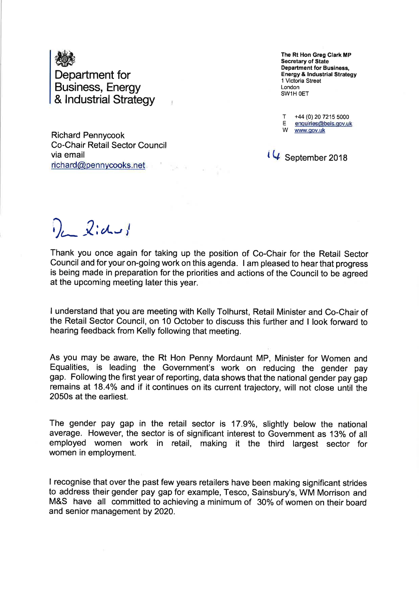

Richard Pennycook Co-Chair Retail Sector Council via email richard@pennvcooks. net

The Rt Hon Greg Clark MP Secretary of State Department for Business, Energy & lndustrial Strategy 1 Victoria Street London SWIH OET

T +44 (0) 20 7215 5000<br>E enquiries@beis.gov.uk<br>Www.gov.uk

 $i \nightharpoonup$  September 2018

 $\lambda$ :  $d - j$ 

Thank you once again for taking up the position of Co-Chair for the Retail Sector Council and for your on-going work on this agenda. I am pleased to hear that progress is being made in preparation for the priorities and actions of the Council to be agreed at the upcoming meeting later this year.

I understand that you are meeting with Kelly Tolhurst, Retail Minister and Co-Chair of the Retail Sector Council, on 10 October to discuss this further and I look fonruard to hearing feedback from Kelly following that meeting.

As you may be aware, the Rt Hon Penny Mordaunt MP, Minister for Women and Equalities, is leading the Government's work on reducing the gender pay gap. Following the first year of reporting, data shows that the national gender pay gap remains at 18.4% and if it continues on its current trajectory, will not close until the 2050s at the earliest.

The gender pay gap in the retail sector is 17.9%, slightly below the national average. However, the sector is of significant interest to Government as 13% of all employed women work in retail, making it the third largest sector for women in employment.

I recognise that over the past few years retailers have been making significant strides to address their gender pay gap for example, Tesco, Sainsbury's, WM Morrison and M&S have all committed to achieving a minimum of 30% of women on their board and senior management by 2020.